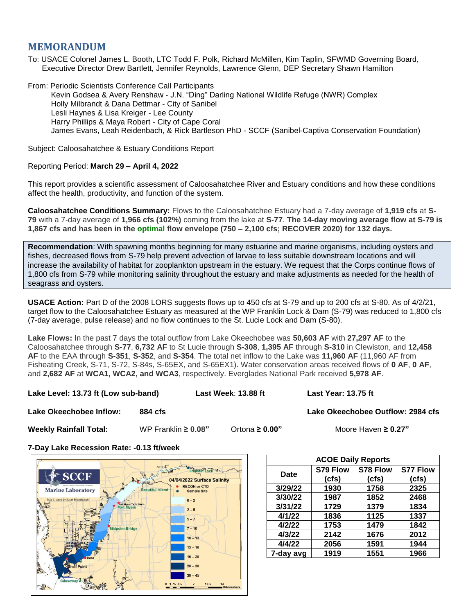# **MEMORANDUM**

To: USACE Colonel James L. Booth, LTC Todd F. Polk, Richard McMillen, Kim Taplin, SFWMD Governing Board, Executive Director Drew Bartlett, Jennifer Reynolds, Lawrence Glenn, DEP Secretary Shawn Hamilton

From: Periodic Scientists Conference Call Participants Kevin Godsea & Avery Renshaw - J.N. "Ding" Darling National Wildlife Refuge (NWR) Complex Holly Milbrandt & Dana Dettmar - City of Sanibel Lesli Haynes & Lisa Kreiger - Lee County Harry Phillips & Maya Robert - City of Cape Coral James Evans, Leah Reidenbach, & Rick Bartleson PhD - SCCF (Sanibel-Captiva Conservation Foundation)

Subject: Caloosahatchee & Estuary Conditions Report

## Reporting Period: **March 29 – April 4, 2022**

This report provides a scientific assessment of Caloosahatchee River and Estuary conditions and how these conditions affect the health, productivity, and function of the system.

**Caloosahatchee Conditions Summary:** Flows to the Caloosahatchee Estuary had a 7-day average of **1,919 cfs** at **S-79** with a 7-day average of **1,966 cfs (102%)** coming from the lake at **S-77**. **The 14-day moving average flow at S-79 is 1,867 cfs and has been in the optimal flow envelope (750 – 2,100 cfs; RECOVER 2020) for 132 days.**

**Recommendation**: With spawning months beginning for many estuarine and marine organisms, including oysters and fishes, decreased flows from S-79 help prevent advection of larvae to less suitable downstream locations and will increase the availability of habitat for zooplankton upstream in the estuary. We request that the Corps continue flows of 1,800 cfs from S-79 while monitoring salinity throughout the estuary and make adjustments as needed for the health of seagrass and oysters.

**USACE Action:** Part D of the 2008 LORS suggests flows up to 450 cfs at S-79 and up to 200 cfs at S-80. As of 4/2/21, target flow to the Caloosahatchee Estuary as measured at the WP Franklin Lock & Dam (S-79) was reduced to 1,800 cfs (7-day average, pulse release) and no flow continues to the St. Lucie Lock and Dam (S-80).

**Lake Flows:** In the past 7 days the total outflow from Lake Okeechobee was **50,603 AF** with **27,297 AF** to the Caloosahatchee through **S-77**, **6,732 AF** to St Lucie through **S-308**, **1,395 AF** through **S-310** in Clewiston, and **12,458 AF** to the EAA through **S-351**, **S-352**, and **S-354**. The total net inflow to the Lake was **11,960 AF** (11,960 AF from Fisheating Creek, S-71, S-72, S-84s, S-65EX, and S-65EX1). Water conservation areas received flows of **0 AF**, **0 AF**, and **2,682 AF** at **WCA1, WCA2, and WCA3**, respectively. Everglades National Park received **5,978 AF**.

**Lake Level: 13.73 ft (Low sub-band) Last Week**: **13.88 ft Last Year: 13.75 ft**

**Lake Okeechobee Inflow: 884 cfs Lake Okeechobee Outflow: 2984 cfs**

**Weekly Rainfall Total:** WP Franklin **≥ 0.08"** Ortona **≥ 0.00"** Moore Haven **≥ 0.27"**

**7-Day Lake Recession Rate: -0.13 ft/week**



| <b>ACOE Daily Reports</b> |          |          |          |  |  |  |
|---------------------------|----------|----------|----------|--|--|--|
| Date                      | S79 Flow | S78 Flow | S77 Flow |  |  |  |
|                           | (cfs)    | (cfs)    | (cfs)    |  |  |  |
| 3/29/22                   | 1930     | 1758     | 2325     |  |  |  |
| 3/30/22                   | 1987     | 1852     | 2468     |  |  |  |
| 3/31/22                   | 1729     | 1379     | 1834     |  |  |  |
| 4/1/22                    | 1836     | 1125     | 1337     |  |  |  |
| 4/2/22                    | 1753     | 1479     | 1842     |  |  |  |
| 4/3/22                    | 2142     | 1676     | 2012     |  |  |  |
| 4/4/22                    | 2056     | 1591     | 1944     |  |  |  |
| 7-day avg                 | 1919     | 1551     | 1966     |  |  |  |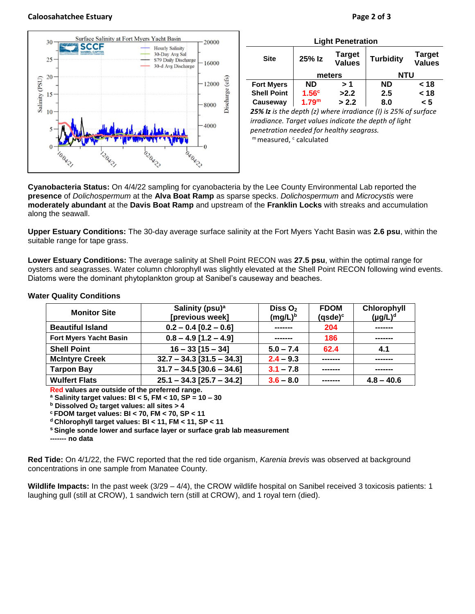### **Caloosahatchee Estuary Page 2 of 3**



| <b>Light Penetration</b> |                   |                                |                                                                      |                                |  |  |
|--------------------------|-------------------|--------------------------------|----------------------------------------------------------------------|--------------------------------|--|--|
| <b>Site</b>              | 25% Iz            | <b>Target</b><br><b>Values</b> | <b>Turbidity</b>                                                     | <b>Target</b><br><b>Values</b> |  |  |
|                          | meters            |                                | <b>NTU</b>                                                           |                                |  |  |
| <b>Fort Myers</b>        | <b>ND</b>         | >1                             | <b>ND</b>                                                            | < 18                           |  |  |
| <b>Shell Point</b>       | 1.56 <sup>c</sup> | >2.2                           | 2.5                                                                  | < 18                           |  |  |
| Causeway                 | 1.79 <sup>m</sup> | > 2.2                          | 8.0                                                                  | < 5                            |  |  |
|                          |                   |                                | $25\%$ Is is the denth (z) where irradiance (I) is $25\%$ of surface |                                |  |  |

*25% Iz is the depth (z) where irradiance (I) is 25% of surface irradiance. Target values indicate the depth of light penetration needed for healthy seagrass.* m measured, c calculated

**Cyanobacteria Status:** On 4/4/22 sampling for cyanobacteria by the Lee County Environmental Lab reported the **presence** of *Dolichospermum* at the **Alva Boat Ramp** as sparse specks. *Dolichospermum* and *Microcystis* were **moderately abundant** at the **Davis Boat Ramp** and upstream of the **Franklin Locks** with streaks and accumulation along the seawall.

**Upper Estuary Conditions:** The 30-day average surface salinity at the Fort Myers Yacht Basin was **2.6 psu**, within the suitable range for tape grass.

**Lower Estuary Conditions:** The average salinity at Shell Point RECON was **27.5 psu**, within the optimal range for oysters and seagrasses. Water column chlorophyll was slightly elevated at the Shell Point RECON following wind events. Diatoms were the dominant phytoplankton group at Sanibel's causeway and beaches.

### **Monitor Site Salinity (psu)<sup>a</sup> [previous week] Diss O<sup>2</sup> (mg/L)<sup>b</sup> FDOM (qsde)<sup>c</sup> Chlorophyll (µg/L)<sup>d</sup> Beautiful Island 0.2 – 0.4 [0.2 – 0.6] ------- 204 ------- Fort Myers Yacht Basin 0.8 – 4.9 [1.2 – 4.9] ------- 186 ------- Shell Point 16 – 33 [15 – 34] 5.0 – 7.4 62.4 4.1 McIntyre Creek**  $\vert$  **32.7 – 34.3** [31.5 – 34.3]  $\vert$  **2.4 – 9.3 Tarpon Bay**  $\vert$  **31.7 – 34.5** [30.6 – 34.6] **3.1 – 7.8 Wulfert Flats 25.1 – 34.3 [25.7 – 34.2] 3.6 – 8.0 ------- 4.8 – 40.6**

### **Water Quality Conditions**

**Red values are outside of the preferred range.**

**<sup>a</sup> Salinity target values: BI < 5, FM < 10, SP = 10 – 30**

**<sup>b</sup> Dissolved O<sup>2</sup> target values: all sites > 4**

**<sup>c</sup> FDOM target values: BI < 70, FM < 70, SP < 11**

**<sup>d</sup> Chlorophyll target values: BI < 11, FM < 11, SP < 11** 

**<sup>s</sup> Single sonde lower and surface layer or surface grab lab measurement**

**------- no data**

**Red Tide:** On 4/1/22, the FWC reported that the red tide organism, *Karenia brevis* was observed at background concentrations in one sample from Manatee County.

**Wildlife Impacts:** In the past week (3/29 – 4/4), the CROW wildlife hospital on Sanibel received 3 toxicosis patients: 1 laughing gull (still at CROW), 1 sandwich tern (still at CROW), and 1 royal tern (died).